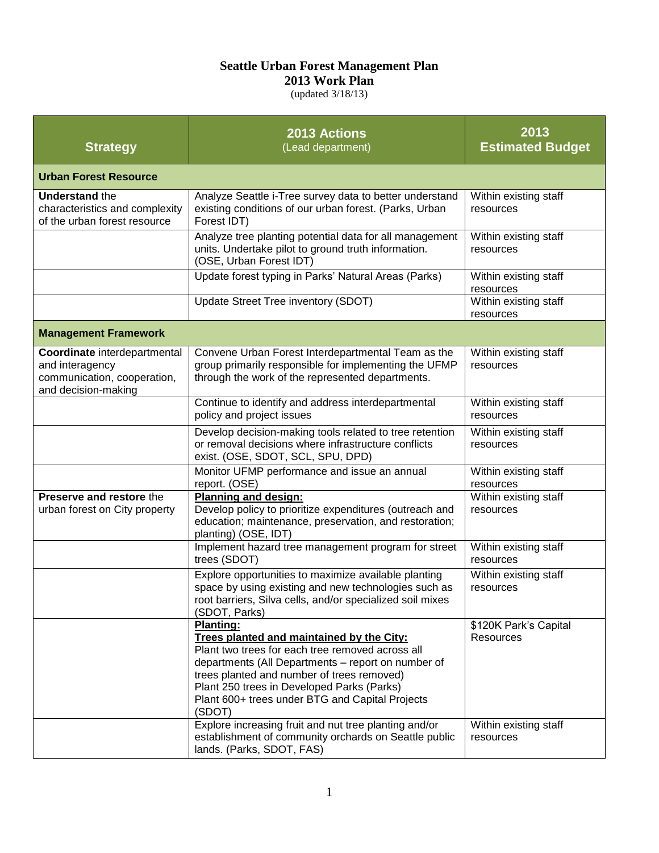## **Seattle Urban Forest Management Plan**

**2013 Work Plan** 

(updated 3/18/13)

| <b>Strategy</b>                                                                                       | <b>2013 Actions</b><br>(Lead department)                                                                                                                                                                                                                                                                                         | 2013<br><b>Estimated Budget</b>           |  |  |
|-------------------------------------------------------------------------------------------------------|----------------------------------------------------------------------------------------------------------------------------------------------------------------------------------------------------------------------------------------------------------------------------------------------------------------------------------|-------------------------------------------|--|--|
| <b>Urban Forest Resource</b>                                                                          |                                                                                                                                                                                                                                                                                                                                  |                                           |  |  |
| <b>Understand the</b><br>characteristics and complexity<br>of the urban forest resource               | Analyze Seattle i-Tree survey data to better understand<br>existing conditions of our urban forest. (Parks, Urban<br>Forest IDT)                                                                                                                                                                                                 | Within existing staff<br>resources        |  |  |
|                                                                                                       | Analyze tree planting potential data for all management<br>units. Undertake pilot to ground truth information.<br>(OSE, Urban Forest IDT)                                                                                                                                                                                        | Within existing staff<br>resources        |  |  |
|                                                                                                       | Update forest typing in Parks' Natural Areas (Parks)                                                                                                                                                                                                                                                                             | Within existing staff<br>resources        |  |  |
|                                                                                                       | Update Street Tree inventory (SDOT)                                                                                                                                                                                                                                                                                              | Within existing staff<br>resources        |  |  |
| <b>Management Framework</b>                                                                           |                                                                                                                                                                                                                                                                                                                                  |                                           |  |  |
| Coordinate interdepartmental<br>and interagency<br>communication, cooperation,<br>and decision-making | Convene Urban Forest Interdepartmental Team as the<br>group primarily responsible for implementing the UFMP<br>through the work of the represented departments.                                                                                                                                                                  | Within existing staff<br>resources        |  |  |
|                                                                                                       | Continue to identify and address interdepartmental<br>policy and project issues                                                                                                                                                                                                                                                  | Within existing staff<br>resources        |  |  |
|                                                                                                       | Develop decision-making tools related to tree retention<br>or removal decisions where infrastructure conflicts<br>exist. (OSE, SDOT, SCL, SPU, DPD)                                                                                                                                                                              | Within existing staff<br>resources        |  |  |
|                                                                                                       | Monitor UFMP performance and issue an annual<br>report. (OSE)                                                                                                                                                                                                                                                                    | Within existing staff<br>resources        |  |  |
| Preserve and restore the<br>urban forest on City property                                             | <b>Planning and design:</b><br>Develop policy to prioritize expenditures (outreach and<br>education; maintenance, preservation, and restoration;<br>planting) (OSE, IDT)                                                                                                                                                         | Within existing staff<br>resources        |  |  |
|                                                                                                       | Implement hazard tree management program for street<br>trees (SDOT)                                                                                                                                                                                                                                                              | Within existing staff<br>resources        |  |  |
|                                                                                                       | Explore opportunities to maximize available planting<br>space by using existing and new technologies such as<br>root barriers, Silva cells, and/or specialized soil mixes<br>(SDOT, Parks)                                                                                                                                       | Within existing staff<br>resources        |  |  |
|                                                                                                       | <b>Planting:</b><br>Trees planted and maintained by the City:<br>Plant two trees for each tree removed across all<br>departments (All Departments - report on number of<br>trees planted and number of trees removed)<br>Plant 250 trees in Developed Parks (Parks)<br>Plant 600+ trees under BTG and Capital Projects<br>(SDOT) | \$120K Park's Capital<br><b>Resources</b> |  |  |
|                                                                                                       | Explore increasing fruit and nut tree planting and/or<br>establishment of community orchards on Seattle public<br>lands. (Parks, SDOT, FAS)                                                                                                                                                                                      | Within existing staff<br>resources        |  |  |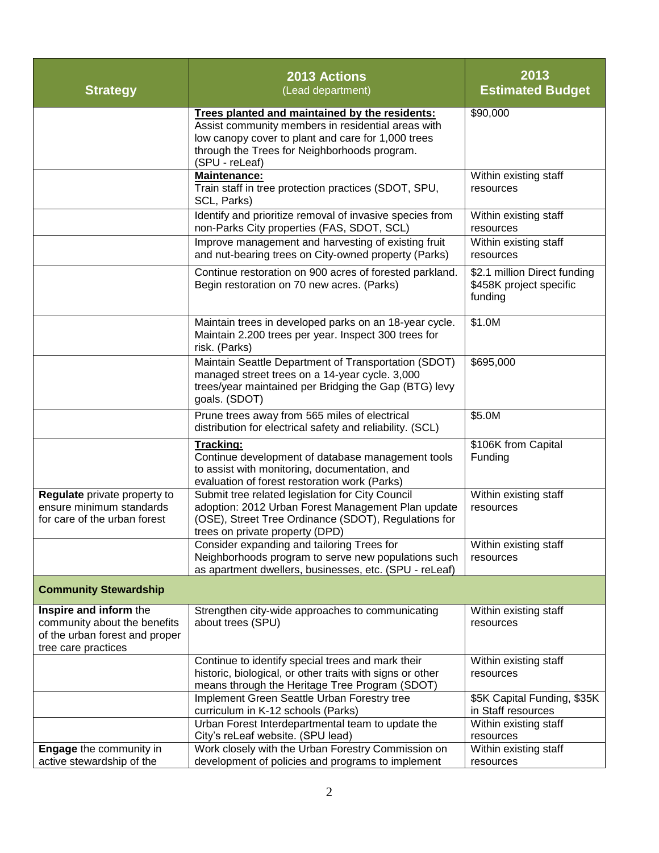| <b>Strategy</b>                                                                                                 | <b>2013 Actions</b><br>(Lead department)                                                                                                                                                                                     | 2013<br><b>Estimated Budget</b>                                    |
|-----------------------------------------------------------------------------------------------------------------|------------------------------------------------------------------------------------------------------------------------------------------------------------------------------------------------------------------------------|--------------------------------------------------------------------|
|                                                                                                                 | Trees planted and maintained by the residents:<br>Assist community members in residential areas with<br>low canopy cover to plant and care for 1,000 trees<br>through the Trees for Neighborhoods program.<br>(SPU - reLeaf) | \$90,000                                                           |
|                                                                                                                 | <b>Maintenance:</b><br>Train staff in tree protection practices (SDOT, SPU,<br>SCL, Parks)                                                                                                                                   | Within existing staff<br>resources                                 |
|                                                                                                                 | Identify and prioritize removal of invasive species from<br>non-Parks City properties (FAS, SDOT, SCL)                                                                                                                       | Within existing staff<br>resources                                 |
|                                                                                                                 | Improve management and harvesting of existing fruit<br>and nut-bearing trees on City-owned property (Parks)                                                                                                                  | Within existing staff<br>resources                                 |
|                                                                                                                 | Continue restoration on 900 acres of forested parkland.<br>Begin restoration on 70 new acres. (Parks)                                                                                                                        | \$2.1 million Direct funding<br>\$458K project specific<br>funding |
|                                                                                                                 | Maintain trees in developed parks on an 18-year cycle.<br>Maintain 2.200 trees per year. Inspect 300 trees for<br>risk. (Parks)                                                                                              | \$1.0M                                                             |
|                                                                                                                 | Maintain Seattle Department of Transportation (SDOT)<br>managed street trees on a 14-year cycle. 3,000<br>trees/year maintained per Bridging the Gap (BTG) levy<br>goals. (SDOT)                                             | \$695,000                                                          |
|                                                                                                                 | Prune trees away from 565 miles of electrical<br>distribution for electrical safety and reliability. (SCL)                                                                                                                   | \$5.0M                                                             |
|                                                                                                                 | Tracking:<br>Continue development of database management tools<br>to assist with monitoring, documentation, and<br>evaluation of forest restoration work (Parks)                                                             | \$106K from Capital<br>Funding                                     |
| Regulate private property to<br>ensure minimum standards<br>for care of the urban forest                        | Submit tree related legislation for City Council<br>adoption: 2012 Urban Forest Management Plan update<br>(OSE), Street Tree Ordinance (SDOT), Regulations for<br>trees on private property (DPD)                            | Within existing staff<br>resources                                 |
|                                                                                                                 | Consider expanding and tailoring Trees for<br>Neighborhoods program to serve new populations such<br>as apartment dwellers, businesses, etc. (SPU - reLeaf)                                                                  | Within existing staff<br>resources                                 |
| <b>Community Stewardship</b>                                                                                    |                                                                                                                                                                                                                              |                                                                    |
| Inspire and inform the<br>community about the benefits<br>of the urban forest and proper<br>tree care practices | Strengthen city-wide approaches to communicating<br>about trees (SPU)                                                                                                                                                        | Within existing staff<br>resources                                 |
|                                                                                                                 | Continue to identify special trees and mark their<br>historic, biological, or other traits with signs or other<br>means through the Heritage Tree Program (SDOT)                                                             | Within existing staff<br>resources                                 |
|                                                                                                                 | Implement Green Seattle Urban Forestry tree<br>curriculum in K-12 schools (Parks)                                                                                                                                            | \$5K Capital Funding, \$35K<br>in Staff resources                  |
|                                                                                                                 | Urban Forest Interdepartmental team to update the<br>City's reLeaf website. (SPU lead)                                                                                                                                       | Within existing staff<br>resources                                 |
| <b>Engage</b> the community in<br>active stewardship of the                                                     | Work closely with the Urban Forestry Commission on<br>development of policies and programs to implement                                                                                                                      | Within existing staff<br>resources                                 |